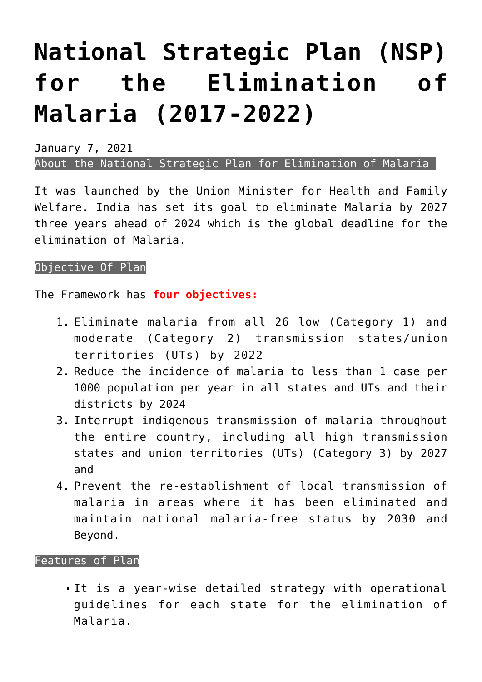## **[National Strategic Plan \(NSP\)](https://journalsofindia.com/national-strategic-plan-nsp-for-the-elimination-of-malaria-2017-2022/) [for the Elimination of](https://journalsofindia.com/national-strategic-plan-nsp-for-the-elimination-of-malaria-2017-2022/) [Malaria \(2017-2022\)](https://journalsofindia.com/national-strategic-plan-nsp-for-the-elimination-of-malaria-2017-2022/)**

January 7, 2021 About the National Strategic Plan for Elimination of Malaria

It was launched by the Union Minister for Health and Family Welfare. India has set its goal to eliminate Malaria by 2027 three years ahead of 2024 which is the global deadline for the elimination of Malaria.

## Objective Of Plan

The Framework has **four objectives:**

- 1. Eliminate malaria from all 26 low (Category 1) and moderate (Category 2) transmission states/union territories (UTs) by 2022
- 2. Reduce the incidence of malaria to less than 1 case per 1000 population per year in all states and UTs and their districts by 2024
- 3. Interrupt indigenous transmission of malaria throughout the entire country, including all high transmission states and union territories (UTs) (Category 3) by 2027 and
- 4. Prevent the re-establishment of local transmission of malaria in areas where it has been eliminated and maintain national malaria-free status by 2030 and Beyond.

## Features of Plan

It is a year-wise detailed strategy with operational guidelines for each state for the elimination of Malaria.